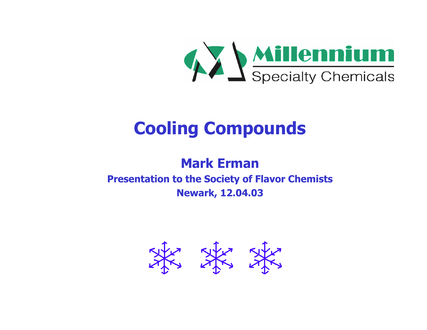

# **Cooling Compounds**

#### **Mark ErmanPresentation to the Society of Flavor Chemists Newark, 12.04.03**

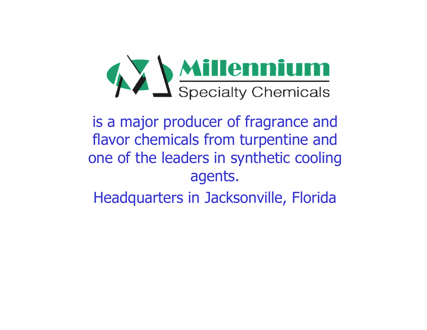

is a major producer of fragrance and flavor chemicals from turpentine and one of the leaders in synthetic cooling agents.

Headquarters in Jacksonville, Florida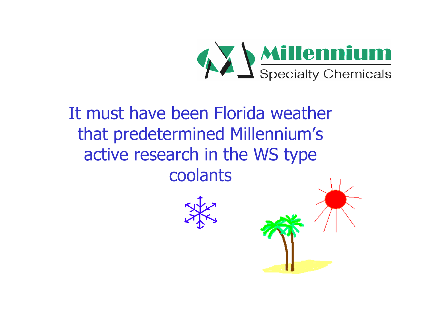

# It must have been Florida weather that predetermined Millennium's active research in the WS type coolants



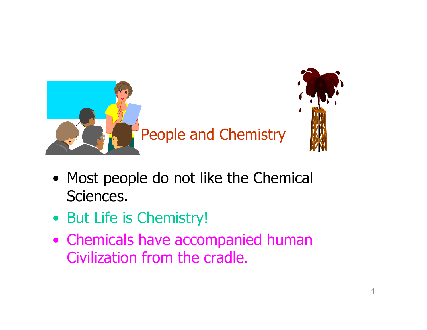

- Most people do not like the Chemical Sciences.
- But Life is Chemistry!
- Chemicals have accompanied human Civilization from the cradle.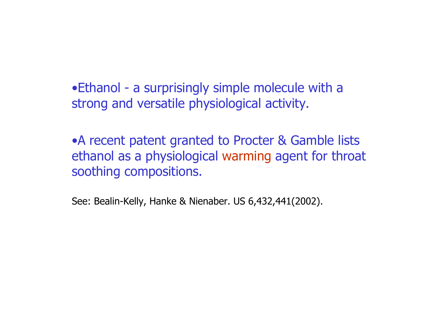• Ethanol - a surprisingly simple molecule with a strong and versatile physiological activity.

•A recent patent granted to Procter & Gamble lists ethanol as a physiological warming agent for throat soothing compositions.

See: Bealin-Kelly, Hanke & Nienaber. US 6,432,441(2002).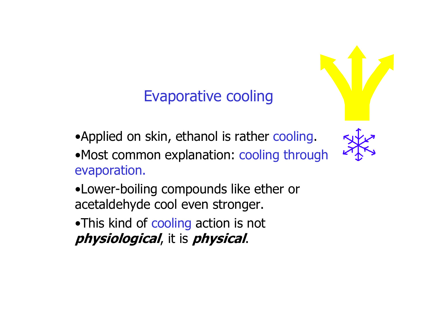# Evaporative cooling

- •Applied on skin, ethanol is rather cooling.
- •Most common explanation: cooling through evaporation.
- •Lower-boiling compounds like ether or acetaldehyde cool even stronger.
- •This kind of cooling action is not **physiological**, it is **physical**.

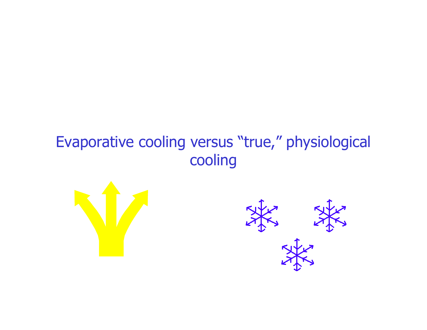# Evaporative cooling versus "true," physiological cooling



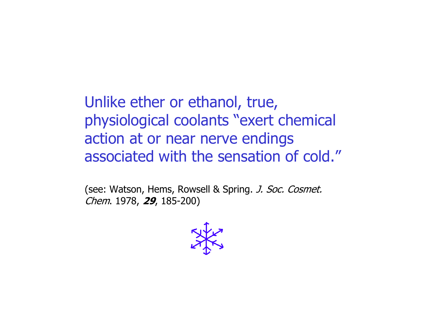Unlike ether or ethanol, true, physiological coolants "exert chemical action at or near nerve endings associated with the sensation of cold."

(see: Watson, Hems, Rowsell & Spring. J. Soc. Cosmet. Chem. 1978, **29**, 185-200)

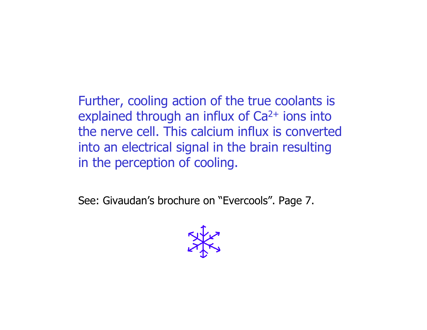Further, cooling action of the true coolants is explained through an influx of Ca<sup>2+</sup> ions into the nerve cell. This calcium influx is converted into an electrical signal in the brain resulting in the perception of cooling.

See: Givaudan's brochure on "Evercools". Page 7.

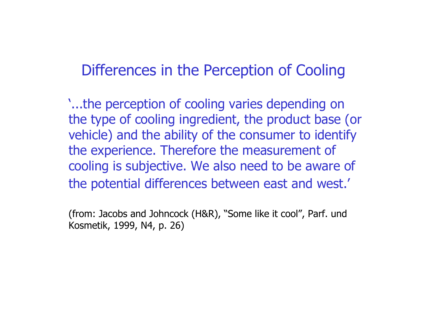# Differences in the Perception of Cooling

'...the perception of cooling varies depending on the type of cooling ingredient, the product base (or vehicle) and the ability of the consumer to identify the experience. Therefore the measurement of cooling is subjective. We also need to be aware of the potential differences between east and west.'

(from: Jacobs and Johncock (H&R), "Some like it cool", Parf. und Kosmetik, 1999, N4, p. 26)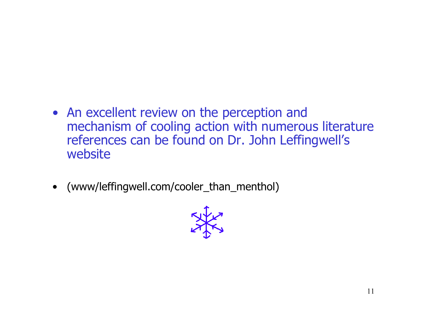- An excellent review on the perception and mechanism of cooling action with numerous literature references can be found on Dr. John Leffingwell's website
- (www/leffingwell.com/cooler\_than\_menthol)

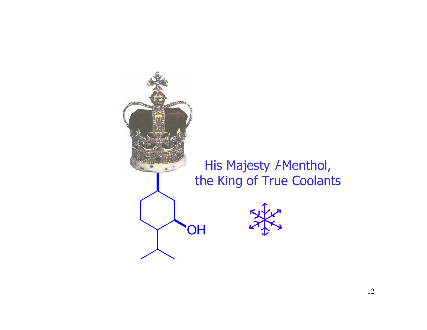

#### His Majesty *I*-Menthol, the King of True Coolants

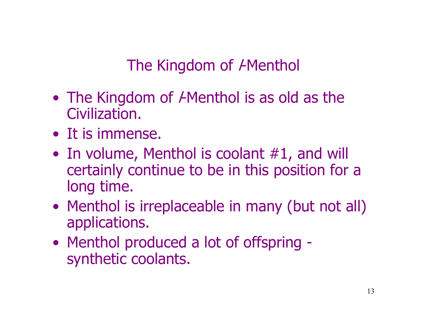The Kingdom of *AMenthol* 

- The Kingdom of  $\epsilon$ Menthol is as old as the Civilization.
- It is immense.
- In volume, Menthol is coolant #1, and will certainly continue to be in this position for a long time.
- Menthol is irreplaceable in many (but not all) applications.
- Menthol produced a lot of offspring synthetic coolants.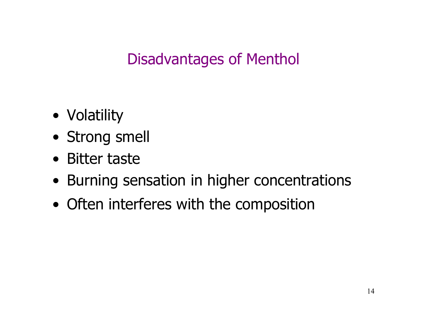# Disadvantages of Menthol

- Volatility
- Strong smell
- Bitter taste
- Burning sensation in higher concentrations
- Often interferes with the composition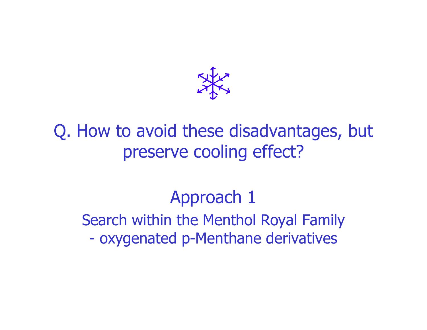# Q. How to avoid these disadvantages, but preserve cooling effect?

# Approach 1

Search within the Menthol Royal Family oxygenated p-Menthane derivatives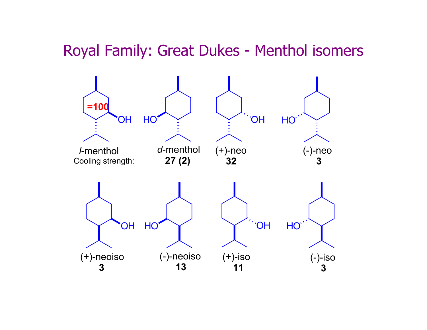## Royal Family: Great Dukes - Menthol isomers

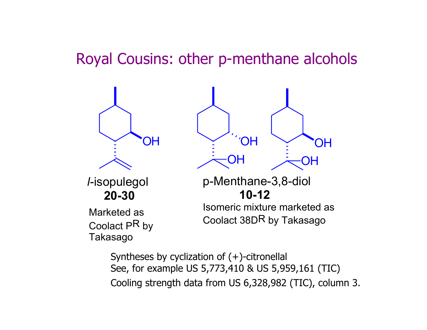# Royal Cousins: other p-menthane alcohols



Syntheses by cyclization of (+)-citronellal See, for example US 5,773,410 & US 5,959,161 (TIC) Cooling strength data from US 6,328,982 (TIC), column 3.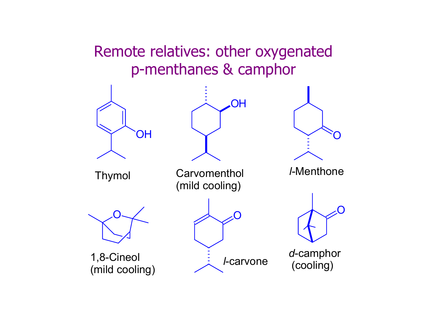# Remote relatives: other oxygenated p-menthanes & camphor

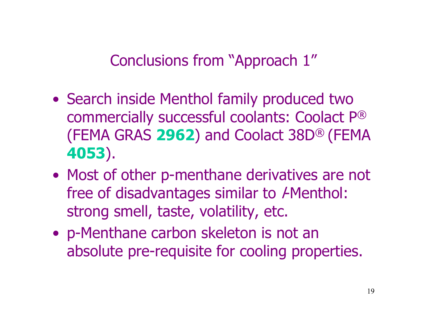Conclusions from "Approach 1"

- Search inside Menthol family produced two commercially successful coolants: Coolact P ® (FEMA GRAS **2962**) and Coolact 38D® (FEMA **4053**).
- Most of other p-menthane derivatives are not free of disadvantages similar to *I*-Menthol: strong smell, taste, volatility, etc.
- p-Menthane carbon skeleton is not an absolute pre-requisite for cooling properties.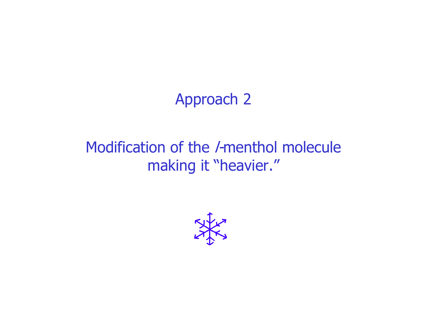# Approach 2

# Modification of the /-menthol molecule making it "heavier."

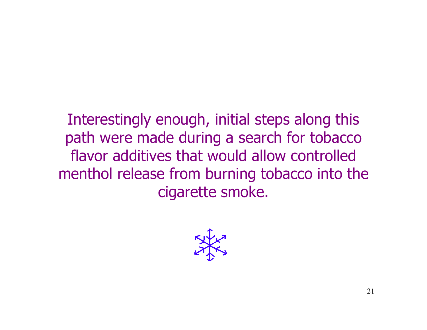Interestingly enough, initial steps along this path were made during a search for tobacco flavor additives that would allow controlled menthol release from burning tobacco into the cigarette smoke.

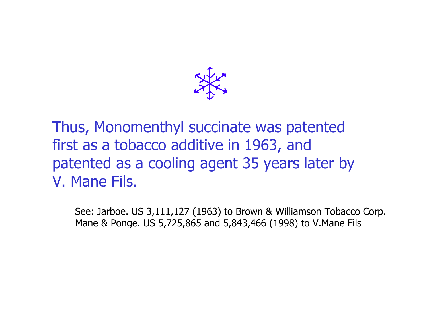

Thus, Monomenthyl succinate was patented first as a tobacco additive in 1963, and patented as a cooling agent 35 years later by V. Mane Fils.

See: Jarboe. US 3,111,127 (1963) to Brown & Williamson Tobacco Corp. Mane & Ponge. US 5,725,865 and 5,843,466 (1998) to V.Mane Fils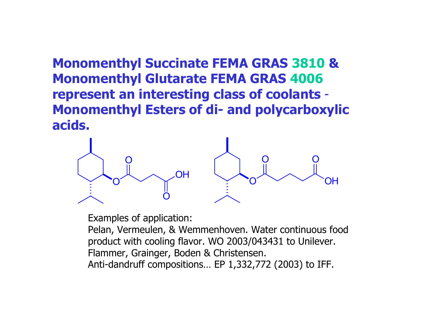**Monomenthyl Succinate FEMA GRAS 3810 & Monomenthyl Glutarate FEMA GRAS 4006 represent an interesting class of coolants**  - **Monomenthyl Esters of di- and polycarboxylic acids.**



Examples of application:

Pelan, Vermeulen, & Wemmenhoven. Water continuous food product with cooling flavor. WO 2003/043431 to Unilever. Flammer, Grainger, Boden & Christensen. Anti-dandruff compositions… EP 1,332,772 (2003) to IFF.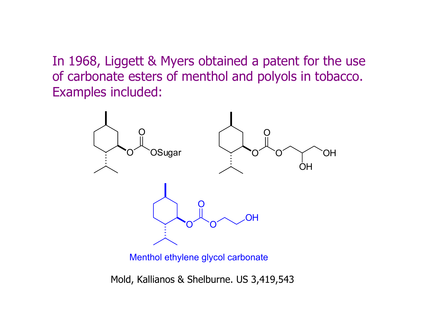In 1968, Liggett & Myers obtained a patent for the use of carbonate esters of menthol and polyols in tobacco. Examples included:



Menthol ethylene glycol carbonate

Mold, Kallianos & Shelburne. US 3,419,543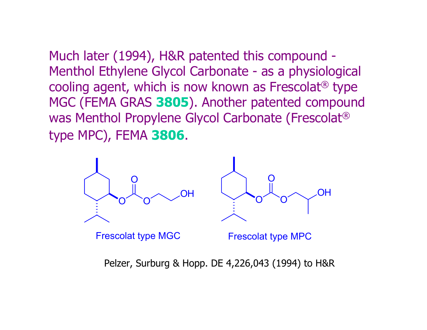Much later (1994), H&R patented this compound - Menthol Ethylene Glycol Carbonate - as a physiological cooling agent, which is now known as Frescolat ® type MGC (FEMA GRAS **3805**). Another patented compound was Menthol Propylene Glycol Carbonate (Frescolat ® type MPC), FEMA **3806**.



Pelzer, Surburg & Hopp. DE 4,226,043 (1994) to H&R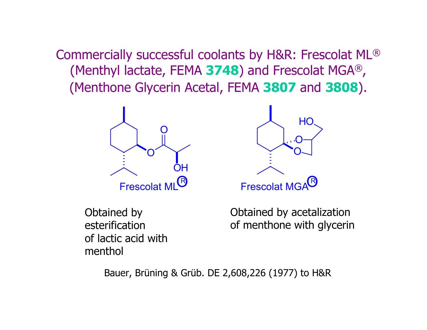Commercially successful coolants by H&R: Frescolat ML ® (Menthyl lactate, FEMA **3748**) and Frescolat MGA ®  $\mathbf{r}$ (Menthone Glycerin Acetal, FEMA **3807** and **3808**).



Obtained by esterification of lactic acid with menthol



Obtained by acetalization of menthone with glycerin

Bauer, Brüning & Grüb. DE 2,608,226 (1977) to H&R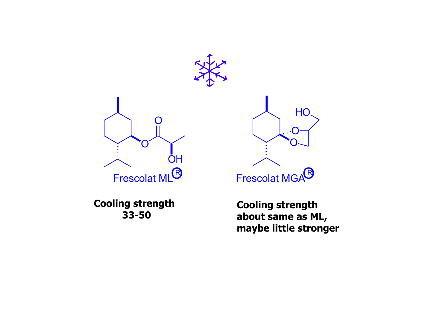



**Cooling strength 33-50**



**Cooling strength about same as ML, maybe little stronger**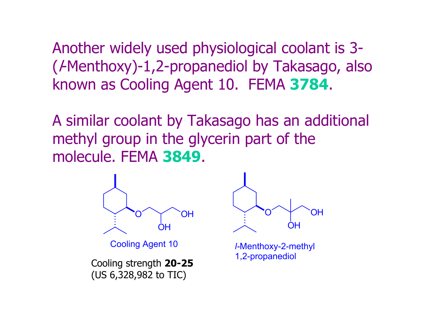Another widely used physiological coolant is 3- ( l-Menthoxy)-1,2-propanediol by Takasago, also known as Cooling Agent 10. FEMA **3784**.

A similar coolant by Takasago has an additional methyl group in the glycerin part of the molecule. FEMA **3849**.



Cooling Agent 10

1,2-propanediol Cooling strength **20-25** (US 6,328,982 to TIC)



*l-*Menthoxy-2-methyl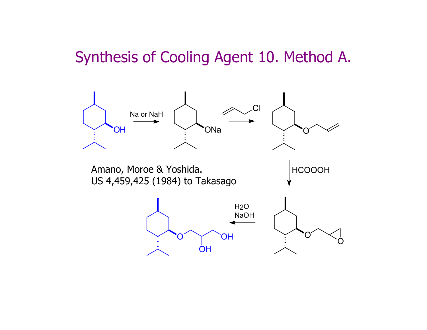# Synthesis of Cooling Agent 10. Method A.

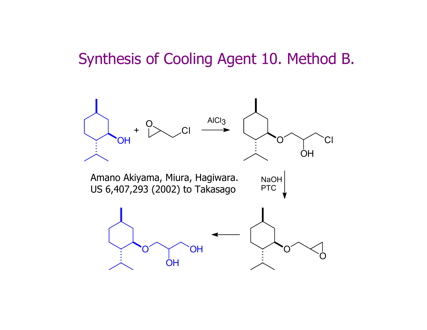# Synthesis of Cooling Agent 10. Method B.

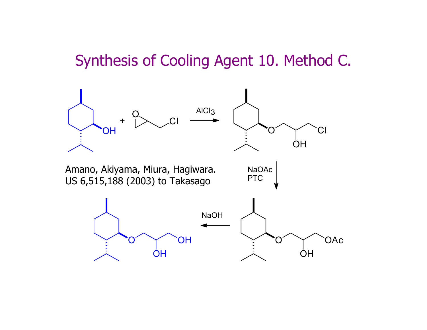# Synthesis of Cooling Agent 10. Method C.

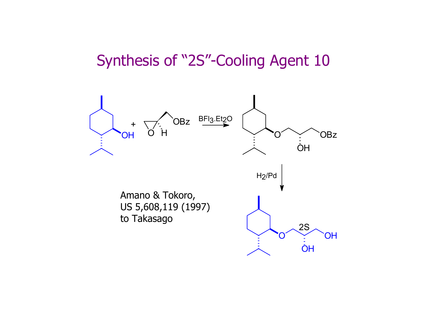# Synthesis of "2S"-Cooling Agent 10

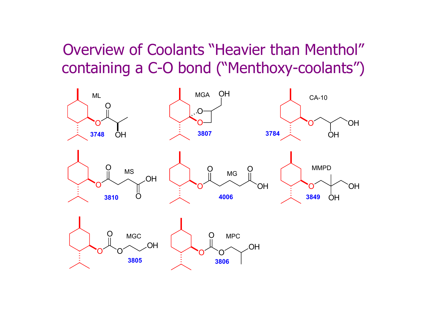# Overview of Coolants "Heavier than Menthol" containing a C-O bond ("Menthoxy-coolants")

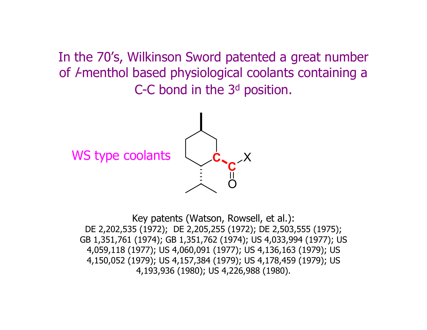In the 70's, Wilkinson Sword patented a great number of *I*-menthol based physiological coolants containing a C-C bond in the 3 <sup>d</sup> position.

WS type coolants



Key patents (Watson, Rowsell, et al.): DE 2,202,535 (1972); DE 2,205,255 (1972); DE 2,503,555 (1975); GB 1,351,761 (1974); GB 1,351,762 (1974); US 4,033,994 (1977); US 4,059,118 (1977); US 4,060,091 (1977); US 4,136,163 (1979); US 4,150,052 (1979); US 4,157,384 (1979); US 4,178,459 (1979); US 4,193,936 (1980); US 4,226,988 (1980).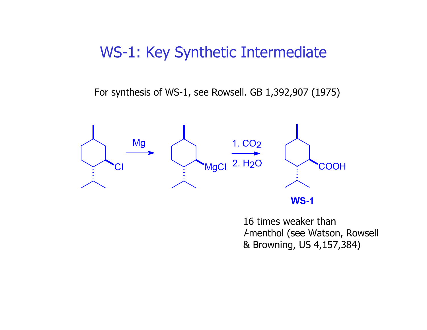# WS-1: Key Synthetic Intermediate

For synthesis of WS-1, see Rowsell. GB 1,392,907 (1975)



16 times weaker thanl-menthol (see Watson, Rowsell & Browning, US 4,157,384)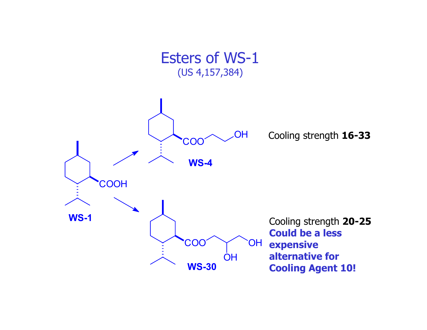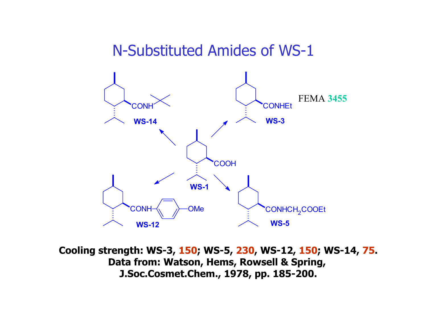## N-Substituted Amides of WS-1



**Cooling strength: WS-3, 150; WS-5, 230, WS-12, 150; WS-14, 75. Data from: Watson, Hems, Rowsell & Spring, J.Soc.Cosmet.Chem., 1978, pp. 185-200.**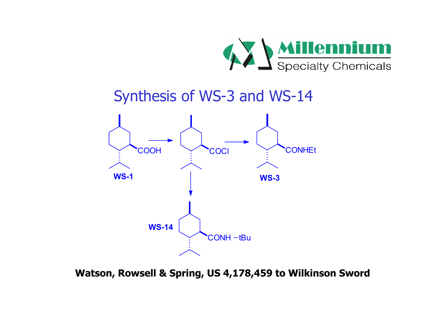

# Synthesis of WS-3 and WS-14



**Watson, Rowsell & Spring, US 4,178,459 to Wilkinson Sword**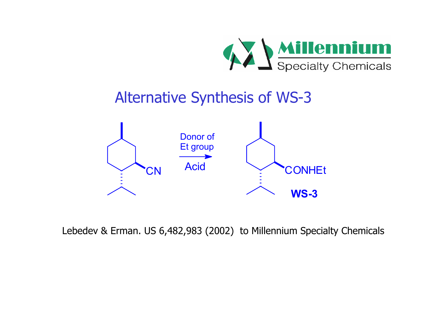

# Alternative Synthesis of WS-3



Lebedev & Erman. US 6,482,983 (2002) to Millennium Specialty Chemicals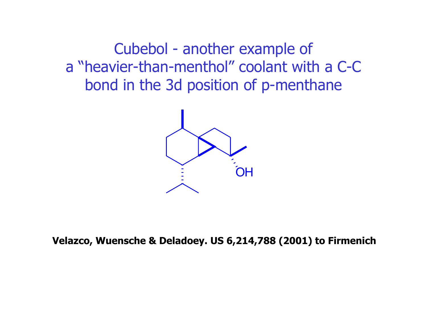Cubebol - another example of a "heavier-than-menthol" coolant with a C-C bond in the 3d position of p-menthane



**Velazco, Wuensche & Deladoey. US 6,214,788 (2001) to Firmenich**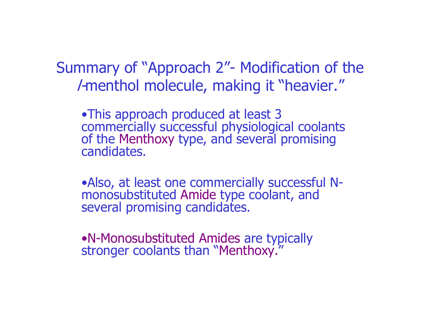Summary of "Approach 2"- Modification of the l-menthol molecule, making it "heavier."

•This approach produced at least 3 commercially successful physiological coolants of the Menthoxy type, and several promising candidates.

•Also, at least one commercially successful Nmonosubstituted Amide type coolant, and several promising candidates.

•N-Monosubstituted Amides are typically stronger coolants than "Menthoxy."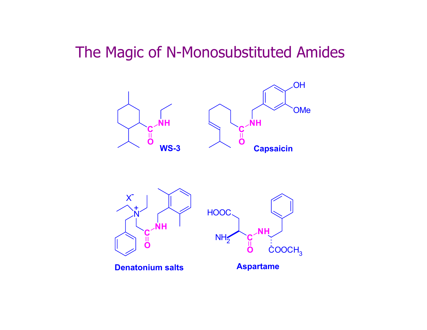# The Magic of N-Monosubstituted Amides

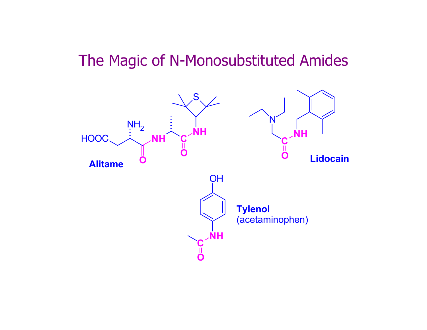## The Magic of N-Monosubstituted Amides

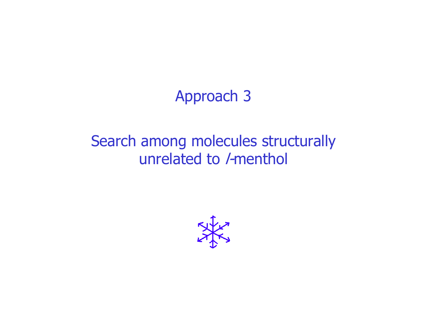# Approach 3

# Search among molecules structurally unrelated to /-menthol

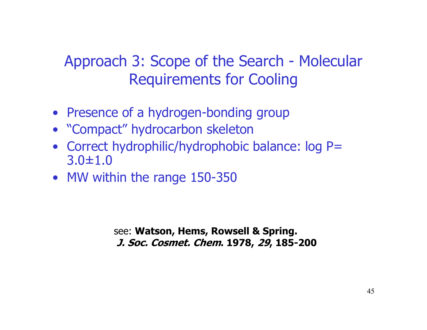# Approach 3: Scope of the Search - Molecular Requirements for Cooling

- Presence of a hydrogen-bonding group
- "Compact" hydrocarbon skeleton
- Correct hydrophilic/hydrophobic balance: log P= 3.0±1.0
- MW within the range 150-350

see: **Watson, Hems, Rowsell & Spring. J. Soc. Cosmet. Chem. 1978, 29, 185-200**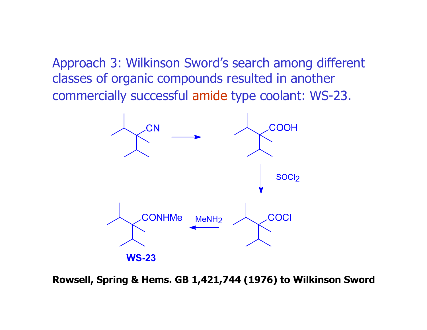Approach 3: Wilkinson Sword's search among different classes of organic compounds resulted in another commercially successful amide type coolant: WS-23.



**Rowsell, Spring & Hems. GB 1,421,744 (1976) to Wilkinson Sword**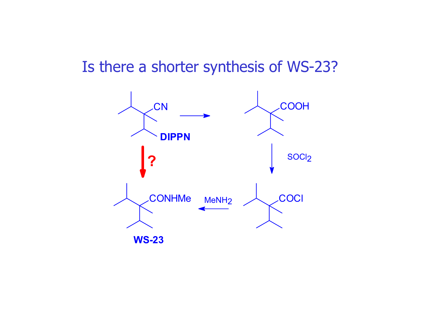# Is there a shorter synthesis of WS-23?

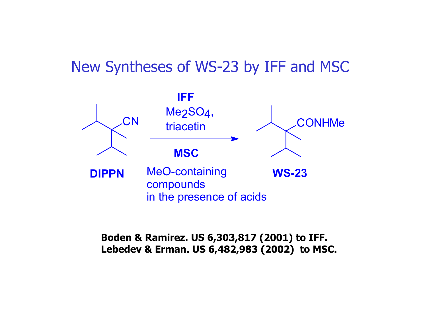## New Syntheses of WS-23 by IFF and MSC



#### **Boden & Ramirez. US 6,303,817 (2001) to IFF. Lebedev & Erman. US 6,482,983 (2002) to MSC.**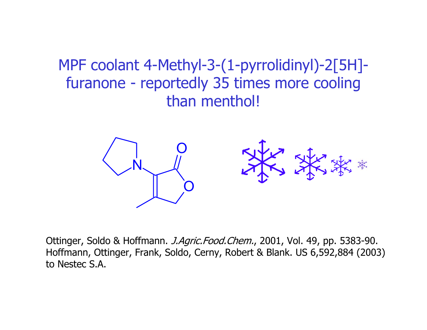MPF coolant 4-Methyl-3-(1-pyrrolidinyl)-2[5H] furanone - reportedly 35 times more cooling than menthol!



Ottinger, Soldo & Hoffmann. *J.Agric.Food.Chem.*, 2001, Vol. 49, pp. 5383-90. Hoffmann, Ottinger, Frank, Soldo, Cerny, Robert & Blank. US 6,592,884 (2003) to Nestec S.A.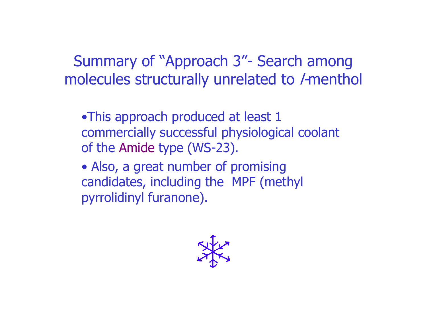Summary of "Approach 3"- Search among molecules structurally unrelated to /-menthol

•This approach produced at least 1 commercially successful physiological coolant of the Amide type (WS-23).

• Also, a great number of promising candidates, including the MPF (methyl pyrrolidinyl furanone).

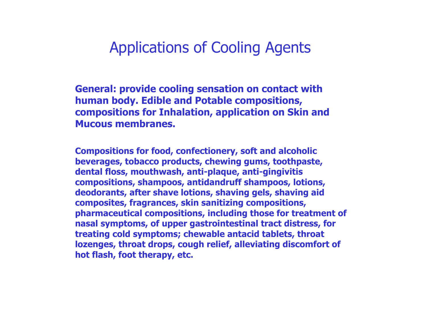# Applications of Cooling Agents

**General: provide cooling sensation on contact with human body. Edible and Potable compositions, compositions for Inhalation, application on Skin and Mucous membranes.**

**Compositions for food, confectionery, soft and alcoholic beverages, tobacco products, chewing gums, toothpaste, dental floss, mouthwash, anti-plaque, anti-gingivitis compositions, shampoos, antidandruff shampoos, lotions, deodorants, after shave lotions, shaving gels, shaving aid composites, fragrances, skin sanitizing compositions, pharmaceutical compositions, including those for treatment of nasal symptoms, of upper gastrointestinal tract distress, for treating cold symptoms; chewable antacid tablets, throat lozenges, throat drops, cough relief, alleviating discomfort of hot flash, foot therapy, etc.**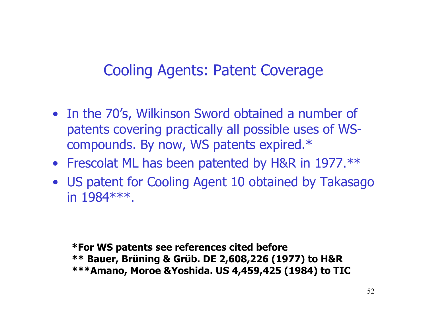# Cooling Agents: Patent Coverage

- In the 70's, Wilkinson Sword obtained a number of patents covering practically all possible uses of WScompounds. By now, WS patents expired.\*
- Frescolat ML has been patented by H&R in 1977.\*\*
- US patent for Cooling Agent 10 obtained by Takasago in 1984\*\*\*.

**\*For WS patents see references cited before \*\* Bauer, Brüning & Grüb. DE 2,608,226 (1977) to H&R \*\*\*Amano, Moroe &Yoshida. US 4,459,425 (1984) to TIC**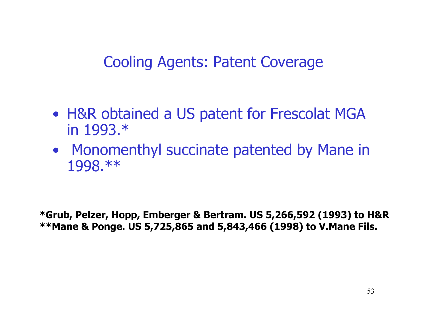# Cooling Agents: Patent Coverage

- H&R obtained a US patent for Frescolat MGA in 1993.\*
- Monomenthyl succinate patented by Mane in 1998.\*\*

**\*Grub, Pelzer, Hopp, Emberger & Bertram. US 5,266,592 (1993) to H&R \*\*Mane & Ponge. US 5,725,865 and 5,843,466 (1998) to V.Mane Fils.**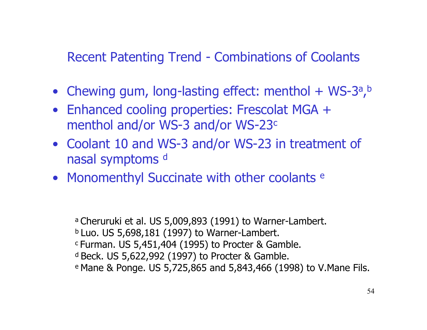#### Recent Patenting Trend - Combinations of Coolants

- Chewing gum, long-lasting effect: menthol + WS-3<sup>a</sup>, b
- Enhanced cooling properties: Frescolat MGA + menthol and/or WS-3 and/or WS-23<sup>c</sup>
- Coolant 10 and WS-3 and/or WS-23 in treatment of nasal symptoms d
- Monomenthyl Succinate with other coolants <sup>e</sup>

a Cheruruki et al. US 5,009,893 (1991) to Warner-Lambert.  $b$  Luo. US 5,698,181 (1997) to Warner-Lambert. c Furman. US 5,451,404 (1995) to Procter & Gamble. d Beck. US 5,622,992 (1997) to Procter & Gamble. e Mane & Ponge. US 5,725,865 and 5,843,466 (1998) to V.Mane Fils.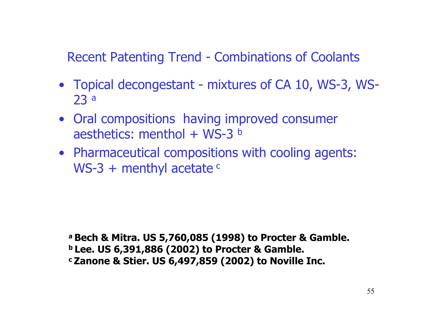Recent Patenting Trend - Combinations of Coolants

- Topical decongestant mixtures of CA 10, WS-3, WS-23 a
- Oral compositions having improved consumer aesthetics: menthol + WS-3 b
- Pharmaceutical compositions with cooling agents: WS-3 + menthyl acetate <sup>c</sup>

**a Bech & Mitra. US 5,760,085 (1998) to Procter & Gamble. b Lee. US 6,391,886 (2002) to Procter & Gamble. c Zanone & Stier. US 6,497,859 (2002) to Noville Inc.**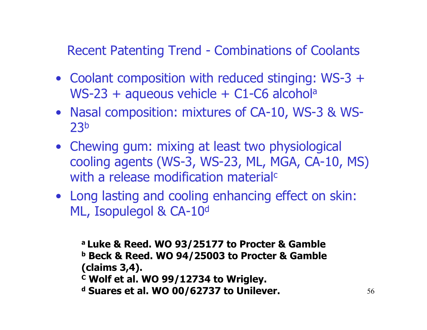Recent Patenting Trend - Combinations of Coolants

- Coolant composition with reduced stinging: WS-3 + WS-23 + aqueous vehicle + C1-C6 alcohol<sup>a</sup>
- Nasal composition: mixtures of CA-10, WS-3 & WS-23b
- Chewing gum: mixing at least two physiological cooling agents (WS-3, WS-23, ML, MGA, CA-10, MS) with a release modification material<sup>c</sup>
- Long lasting and cooling enhancing effect on skin: ML, Isopulegol & CA-10<sup>d</sup>

**a Luke & Reed. WO 93/25177 to Procter & Gamble b Beck & Reed. WO 94/25003 to Procter & Gamble (claims 3,4).**

- **C Wolf et al. WO 99/12734 to Wrigley.**
- **d Suares et al. WO 00/62737 to Unilever.**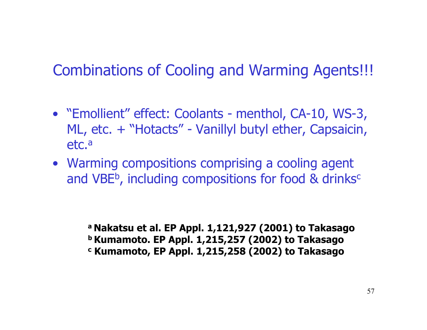# Combinations of Cooling and Warming Agents!!!

- "Emollient" effect: Coolants menthol, CA-10, WS-3, ML, etc. + "Hotacts" - Vanillyl butyl ether, Capsaicin, etc.ª
- Warming compositions comprising a cooling agent and VBE<sup>b</sup>, including compositions for food & drinks<sup>c</sup>

**a Nakatsu et al. EP Appl. 1,121,927 (2001) to Takasago b Kumamoto. EP Appl. 1,215,257 (2002) to Takasago c Kumamoto, EP Appl. 1,215,258 (2002) to Takasago**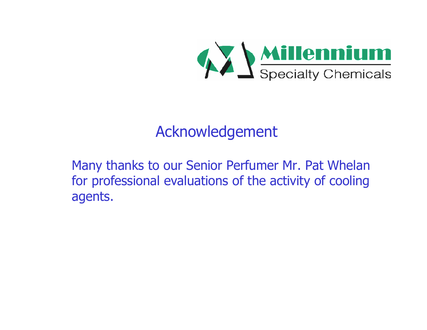

# Acknowledgement

Many thanks to our Senior Perfumer Mr. Pat Whelan for professional evaluations of the activity of cooling agents.